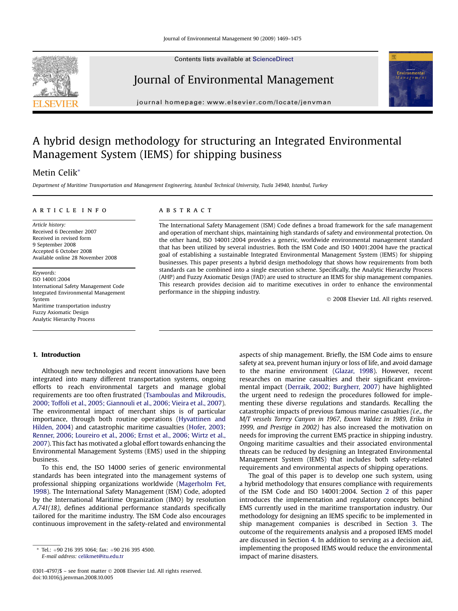Contents lists available at [ScienceDirect](www.sciencedirect.com/science/journal/03014797)

## Journal of Environmental Management

journal homepage: [www.elsevier.com/locate/jenvman](http://www.elsevier.com/locate/jenvman)

## A hybrid design methodology for structuring an Integrated Environmental Management System (IEMS) for shipping business

## Metin Celik\*

Department of Maritime Transportation and Management Engineering, Istanbul Technical University, Tuzla 34940, Istanbul, Turkey

### article info

Article history: Received 6 December 2007 Received in revised form 9 September 2008 Accepted 6 October 2008 Available online 28 November 2008

Keywords: ISO 14001:2004 International Safety Management Code Integrated Environmental Management System Maritime transportation industry Fuzzy Axiomatic Design Analytic Hierarchy Process

### **ABSTRACT**

The International Safety Management (ISM) Code defines a broad framework for the safe management and operation of merchant ships, maintaining high standards of safety and environmental protection. On the other hand, ISO 14001:2004 provides a generic, worldwide environmental management standard that has been utilized by several industries. Both the ISM Code and ISO 14001:2004 have the practical goal of establishing a sustainable Integrated Environmental Management System (IEMS) for shipping businesses. This paper presents a hybrid design methodology that shows how requirements from both standards can be combined into a single execution scheme. Specifically, the Analytic Hierarchy Process (AHP) and Fuzzy Axiomatic Design (FAD) are used to structure an IEMS for ship management companies. This research provides decision aid to maritime executives in order to enhance the environmental performance in the shipping industry.

- 2008 Elsevier Ltd. All rights reserved.

## 1. Introduction

Although new technologies and recent innovations have been integrated into many different transportation systems, ongoing efforts to reach environmental targets and manage global requirements are too often frustrated ([Tsamboulas and Mikroudis,](#page--1-0) [2000; Toffoli et al., 2005; Giannouli et al., 2006; Vieira et al., 2007\)](#page--1-0). The environmental impact of merchant ships is of particular importance, through both routine operations [\(Hyvattinen and](#page--1-0) [Hilden, 2004](#page--1-0)) and catastrophic maritime casualties ([Hofer, 2003;](#page--1-0) [Renner, 2006; Loureiro et al., 2006; Ernst et al., 2006; Wirtz et al.,](#page--1-0) [2007\)](#page--1-0). This fact has motivated a global effort towards enhancing the Environmental Management Systems (EMS) used in the shipping business.

To this end, the ISO 14000 series of generic environmental standards has been integrated into the management systems of professional shipping organizations worldwide ([Magerholm Fet,](#page--1-0) [1998\)](#page--1-0). The International Safety Management (ISM) Code, adopted by the International Maritime Organization (IMO) by resolution A.741(18), defines additional performance standards specifically tailored for the maritime industry. The ISM Code also encourages continuous improvement in the safety-related and environmental

 $*$  Tel.: +90 216 395 1064; fax: +90 216 395 4500. E-mail address: [celikmet@itu.edu.tr](mailto:celikmet@itu.edu.tr)

aspects of ship management. Briefly, the ISM Code aims to ensure safety at sea, prevent human injury or loss of life, and avoid damage to the marine environment ([Glazar, 1998\)](#page--1-0). However, recent researches on marine casualties and their significant environmental impact [\(Derraik, 2002; Burgherr, 2007](#page--1-0)) have highlighted the urgent need to redesign the procedures followed for implementing these diverse regulations and standards. Recalling the catastrophic impacts of previous famous marine casualties (i.e., the M/T vessels Torrey Canyon in 1967, Exxon Valdez in 1989, Erika in 1999, and Prestige in 2002) has also increased the motivation on needs for improving the current EMS practice in shipping industry. Ongoing maritime casualties and their associated environmental threats can be reduced by designing an Integrated Environmental Management System (IEMS) that includes both safety-related requirements and environmental aspects of shipping operations.

The goal of this paper is to develop one such system, using a hybrid methodology that ensures compliance with requirements of the ISM Code and ISO 14001:2004. Section [2](#page-1-0) of this paper introduces the implementation and regulatory concepts behind EMS currently used in the maritime transportation industry. Our methodology for designing an IEMS specific to be implemented in ship management companies is described in Section [3.](#page-1-0) The outcome of the requirements analysis and a proposed IEMS model are discussed in Section [4](#page--1-0). In addition to serving as a decision aid, implementing the proposed IEMS would reduce the environmental impact of marine disasters.





<sup>0301-4797/\$ –</sup> see front matter © 2008 Elsevier Ltd. All rights reserved. doi:10.1016/j.jenvman.2008.10.005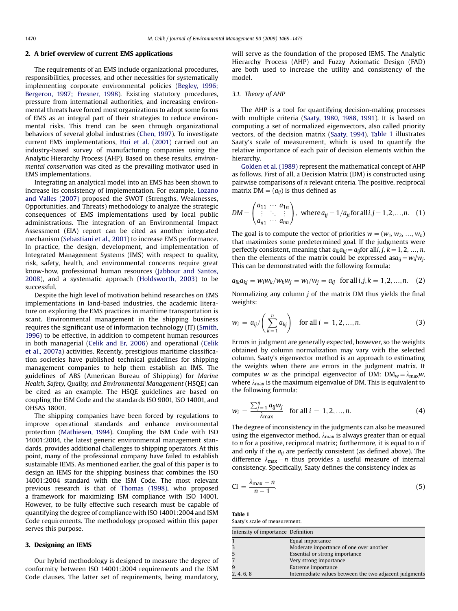### <span id="page-1-0"></span>2. A brief overview of current EMS applications

The requirements of an EMS include organizational procedures, responsibilities, processes, and other necessities for systematically implementing corporate environmental policies [\(Begley, 1996;](#page--1-0) [Bergeron, 1997; Fresner, 1998\)](#page--1-0). Existing statutory procedures, pressure from international authorities, and increasing environmental threats have forced most organizations to adopt some forms of EMS as an integral part of their strategies to reduce environmental risks. This trend can be seen through organizational behaviors of several global industries ([Chen, 1997](#page--1-0)). To investigate current EMS implementations, [Hui et al. \(2001\)](#page--1-0) carried out an industry-based survey of manufacturing companies using the Analytic Hierarchy Process (AHP). Based on these results, environmental conservation was cited as the prevailing motivator used in EMS implementations.

Integrating an analytical model into an EMS has been shown to increase its consistency of implementation. For example, [Lozano](#page--1-0) [and Valles \(2007\)](#page--1-0) proposed the SWOT (Strengths, Weaknesses, Opportunities, and Threats) methodology to analyze the strategic consequences of EMS implementations used by local public administrations. The integration of an Environmental Impact Assessment (EIA) report can be cited as another integrated mechanism [\(Sebastiani et al., 2001](#page--1-0)) to increase EMS performance. In practice, the design, development, and implementation of Integrated Management Systems (IMS) with respect to quality, risk, safety, health, and environmental concerns require great know-how, professional human resources [\(Jabbour and Santos,](#page--1-0) [2008](#page--1-0)), and a systematic approach [\(Holdsworth, 2003\)](#page--1-0) to be successful.

Despite the high level of motivation behind researches on EMS implementations in land-based industries, the academic literature on exploring the EMS practices in maritime transportation is scant. Environmental management in the shipping business requires the significant use of information technology (IT) [\(Smith,](#page--1-0) [1996\)](#page--1-0) to be effective, in addition to competent human resources in both managerial [\(Celik and Er, 2006](#page--1-0)) and operational ([Celik](#page--1-0) [et al., 2007a](#page--1-0)) activities. Recently, prestigious maritime classification societies have published technical guidelines for shipping management companies to help them establish an IMS. The guidelines of ABS (American Bureau of Shipping) for Marine Health, Safety, Quality, and Environmental Management (HSQE) can be cited as an example. The HSQE guidelines are based on coupling the ISM Code and the standards ISO 9001, ISO 14001, and OHSAS 18001.

The shipping companies have been forced by regulations to improve operational standards and enhance environmental protection [\(Mathiesen, 1994\)](#page--1-0). Coupling the ISM Code with ISO 14001:2004, the latest generic environmental management standards, provides additional challenges to shipping operators. At this point, many of the professional company have failed to establish sustainable IEMS. As mentioned earlier, the goal of this paper is to design an IEMS for the shipping business that combines the ISO 14001:2004 standard with the ISM Code. The most relevant previous research is that of [Thomas \(1998\)](#page--1-0), who proposed a framework for maximizing ISM compliance with ISO 14001. However, to be fully effective such research must be capable of quantifying the degree of compliance with ISO 14001:2004 and ISM Code requirements. The methodology proposed within this paper serves this purpose.

### 3. Designing an IEMS

Our hybrid methodology is designed to measure the degree of conformity between ISO 14001:2004 requirements and the ISM Code clauses. The latter set of requirements, being mandatory, will serve as the foundation of the proposed IEMS. The Analytic Hierarchy Process (AHP) and Fuzzy Axiomatic Design (FAD) are both used to increase the utility and consistency of the model.

### 3.1. Theory of AHP

The AHP is a tool for quantifying decision-making processes with multiple criteria ([Saaty, 1980, 1988, 1991\)](#page--1-0). It is based on computing a set of normalized eigenvectors, also called priority vectors, of the decision matrix ([Saaty, 1994](#page--1-0)). Table 1 illustrates Saaty's scale of measurement, which is used to quantify the relative importance of each pair of decision elements within the hierarchy.

[Golden et al. \(1989\)](#page--1-0) represent the mathematical concept of AHP as follows. First of all, a Decision Matrix (DM) is constructed using pairwise comparisons of n relevant criteria. The positive, reciprocal matrix  $DM = (a_{ii})$  is thus defined as

$$
DM = \begin{pmatrix} a_{11} & \cdots & a_{1n} \\ \vdots & \ddots & \vdots \\ a_{n1} & \cdots & a_{nn} \end{pmatrix}, \text{ where } a_{ij} = 1/a_{ji} \text{ for all } i, j = 1, 2, \ldots, n. \quad (1)
$$

The goal is to compute the vector of priorities  $w = (w_1, w_2, ..., w_n)$ that maximizes some predetermined goal. If the judgments were perfectly consistent, meaning that  $a_{ik}a_{ki} = a_{ii}$  for alli, j,  $k = 1, 2, ..., n$ , then the elements of the matrix could be expressed as  $a_{ii} = w_i/w_i$ . This can be demonstrated with the following formula:

$$
a_{ik}a_{kj} = w_i w_k / w_k w_j = w_i / w_j = a_{ij} \text{ for all } i, j, k = 1, 2, ..., n. (2)
$$

Normalizing any column  $i$  of the matrix DM thus yields the final weights:

$$
w_i = a_{ij} / \left(\sum_{k=1}^n a_{kj}\right) \text{ for all } i = 1, 2, ..., n. \tag{3}
$$

Errors in judgment are generally expected, however, so the weights obtained by column normalization may vary with the selected column. Saaty's eigenvector method is an approach to estimating the weights when there are errors in the judgment matrix. It computes w as the principal eigenvector of DM:  $DM_w = \lambda_{max}w$ , where  $\lambda_{\text{max}}$  is the maximum eigenvalue of DM. This is equivalent to the following formula:

$$
w_i = \frac{\sum_{j=1}^n a_{ij} w_j}{\lambda_{\text{max}}} \quad \text{for all } i = 1, 2, ..., n. \tag{4}
$$

The degree of inconsistency in the judgments can also be measured using the eigenvector method.  $\lambda_{\text{max}}$  is always greater than or equal to  $n$  for a positive, reciprocal matrix; furthermore, it is equal to  $n$  if and only if the  $a_{ii}$  are perfectly consistent (as defined above). The difference  $\lambda_{\text{max}} - n$  thus provides a useful measure of internal consistency. Specifically, Saaty defines the consistency index as

$$
CI = \frac{\lambda_{\max} - n}{n - 1}.
$$
\n(5)

Table 1

| Saaty's scale of measurement. |  |
|-------------------------------|--|
|                               |  |

| Intensity of importance Definition |                                                        |
|------------------------------------|--------------------------------------------------------|
|                                    | Equal importance                                       |
|                                    | Moderate importance of one over another                |
|                                    | Essential or strong importance                         |
|                                    | Very strong importance                                 |
|                                    | Extreme importance                                     |
| 2, 4, 6, 8                         | Intermediate values between the two adjacent judgments |